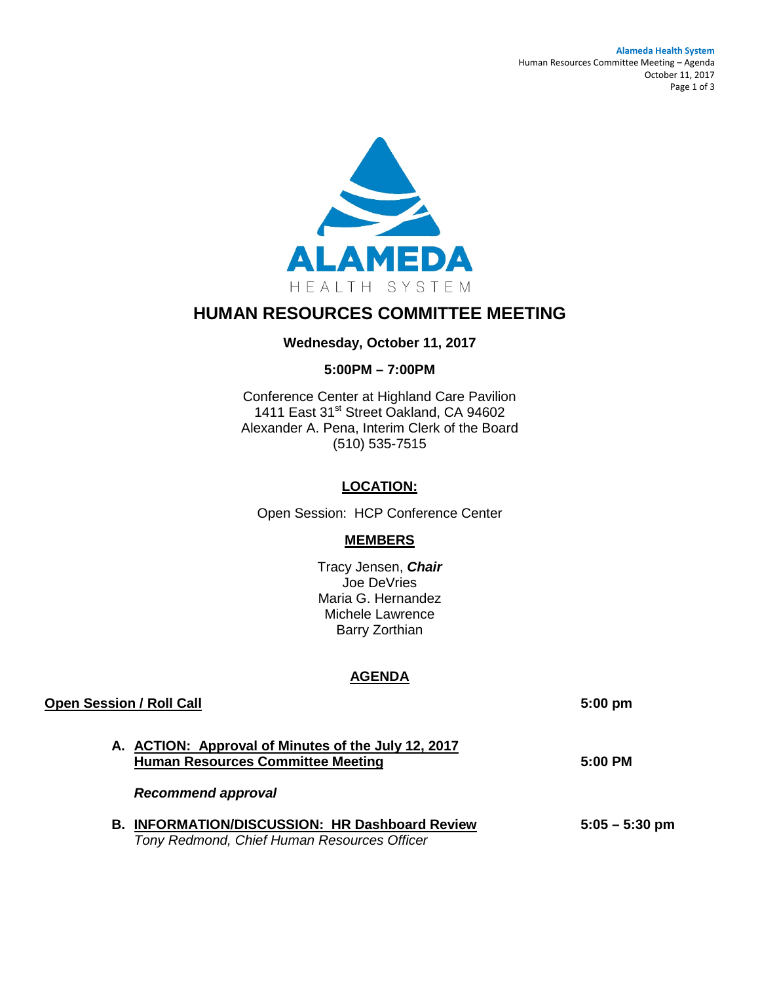#### **Alameda Health System** Human Resources Committee Meeting – Agenda October 11, 2017 Page 1 of 3



# **HUMAN RESOURCES COMMITTEE MEETING**

# **Wednesday, October 11, 2017**

# **5:00PM – 7:00PM**

Conference Center at Highland Care Pavilion 1411 East 31<sup>st</sup> Street Oakland, CA 94602 Alexander A. Pena, Interim Clerk of the Board (510) 535-7515

# **LOCATION:**

Open Session: HCP Conference Center

# **MEMBERS**

Tracy Jensen, *Chair* Joe DeVries Maria G. Hernandez Michele Lawrence Barry Zorthian

# **AGENDA**

| <b>Open Session / Roll Call</b>                                                                         | $5:00$ pm           |
|---------------------------------------------------------------------------------------------------------|---------------------|
| A. ACTION: Approval of Minutes of the July 12, 2017<br><b>Human Resources Committee Meeting</b>         | $5:00 \, \text{PM}$ |
| <b>Recommend approval</b>                                                                               |                     |
| <b>INFORMATION/DISCUSSION: HR Dashboard Review</b><br>В.<br>Tony Redmond, Chief Human Resources Officer | $5:05 - 5:30$ pm    |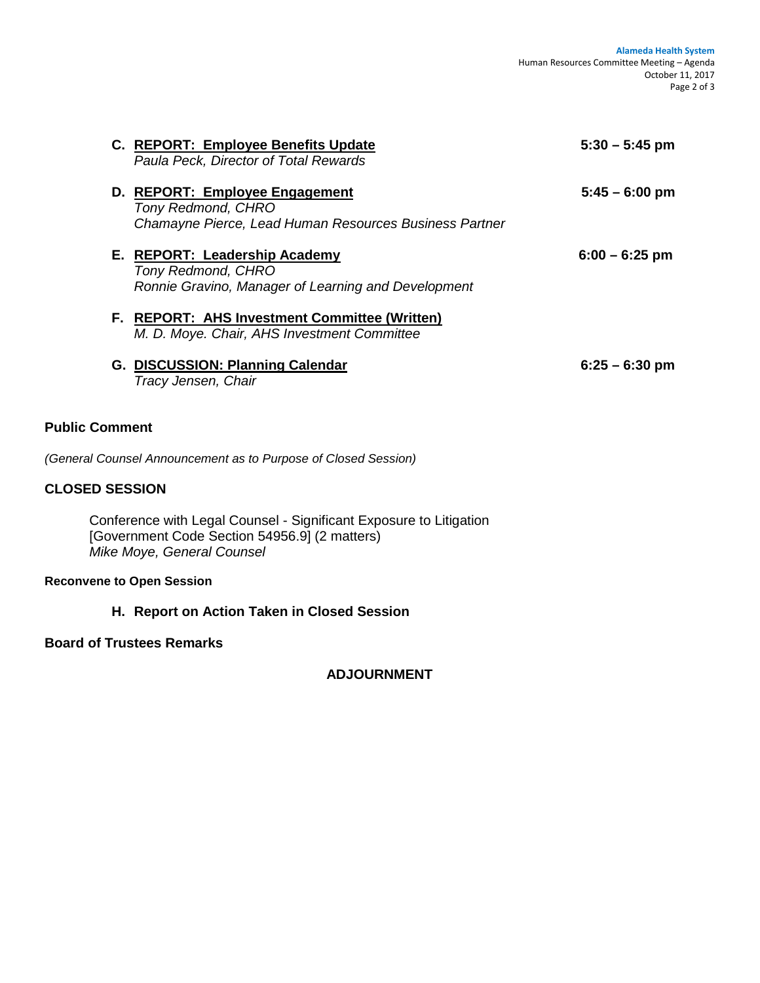|                       | C. REPORT: Employee Benefits Update<br>Paula Peck, Director of Total Rewards                                          | $5:30 - 5:45$ pm         |
|-----------------------|-----------------------------------------------------------------------------------------------------------------------|--------------------------|
|                       | D. REPORT: Employee Engagement<br><b>Tony Redmond, CHRO</b><br>Chamayne Pierce, Lead Human Resources Business Partner | $5:45 - 6:00 \text{ pm}$ |
|                       | E. REPORT: Leadership Academy<br><b>Tony Redmond, CHRO</b><br>Ronnie Gravino, Manager of Learning and Development     | $6:00 - 6:25$ pm         |
|                       | F. REPORT: AHS Investment Committee (Written)<br>M. D. Moye. Chair, AHS Investment Committee                          |                          |
|                       | G. DISCUSSION: Planning Calendar<br>Tracy Jensen, Chair                                                               | $6:25 - 6:30$ pm         |
| <b>Public Comment</b> |                                                                                                                       |                          |

*(General Counsel Announcement as to Purpose of Closed Session)* 

# **CLOSED SESSION**

Conference with Legal Counsel - Significant Exposure to Litigation [Government Code Section 54956.9] (2 matters) *Mike Moye, General Counsel* 

#### **Reconvene to Open Session**

**H. Report on Action Taken in Closed Session**

# **Board of Trustees Remarks**

**ADJOURNMENT**